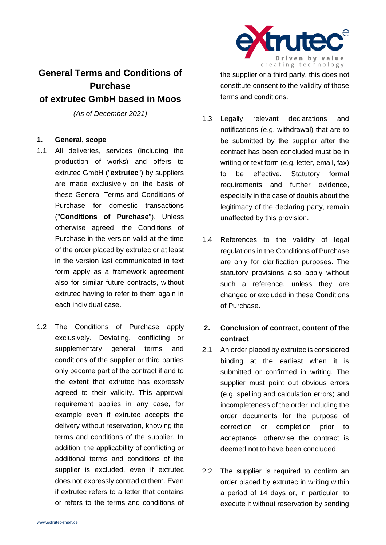

# **General Terms and Conditions of Purchase of extrutec GmbH based in Moos**

*(As of December 2021)*

# **1. General, scope**

- 1.1 All deliveries, services (including the production of works) and offers to extrutec GmbH ("**extrutec**") by suppliers are made exclusively on the basis of these General Terms and Conditions of Purchase for domestic transactions ("**Conditions of Purchase**"). Unless otherwise agreed, the Conditions of Purchase in the version valid at the time of the order placed by extrutec or at least in the version last communicated in text form apply as a framework agreement also for similar future contracts, without extrutec having to refer to them again in each individual case.
- 1.2 The Conditions of Purchase apply exclusively. Deviating, conflicting or supplementary general terms and conditions of the supplier or third parties only become part of the contract if and to the extent that extrutec has expressly agreed to their validity. This approval requirement applies in any case, for example even if extrutec accepts the delivery without reservation, knowing the terms and conditions of the supplier. In addition, the applicability of conflicting or additional terms and conditions of the supplier is excluded, even if extrutec does not expressly contradict them. Even if extrutec refers to a letter that contains or refers to the terms and conditions of

the supplier or a third party, this does not constitute consent to the validity of those terms and conditions.

- 1.3 Legally relevant declarations and notifications (e.g. withdrawal) that are to be submitted by the supplier after the contract has been concluded must be in writing or text form (e.g. letter, email, fax) to be effective. Statutory formal requirements and further evidence, especially in the case of doubts about the legitimacy of the declaring party, remain unaffected by this provision.
- 1.4 References to the validity of legal regulations in the Conditions of Purchase are only for clarification purposes. The statutory provisions also apply without such a reference, unless they are changed or excluded in these Conditions of Purchase.

# **2. Conclusion of contract, content of the contract**

- 2.1 An order placed by extrutec is considered binding at the earliest when it is submitted or confirmed in writing. The supplier must point out obvious errors (e.g. spelling and calculation errors) and incompleteness of the order including the order documents for the purpose of correction or completion prior to acceptance; otherwise the contract is deemed not to have been concluded.
- 2.2 The supplier is required to confirm an order placed by extrutec in writing within a period of 14 days or, in particular, to execute it without reservation by sending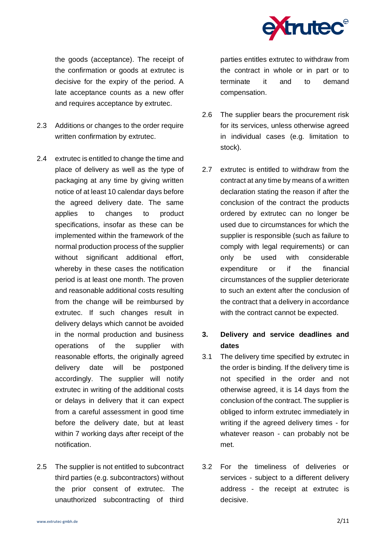

the goods (acceptance). The receipt of the confirmation or goods at extrutec is decisive for the expiry of the period. A late acceptance counts as a new offer and requires acceptance by extrutec.

- 2.3 Additions or changes to the order require written confirmation by extrutec.
- 2.4 extrutec is entitled to change the time and place of delivery as well as the type of packaging at any time by giving written notice of at least 10 calendar days before the agreed delivery date. The same applies to changes to product specifications, insofar as these can be implemented within the framework of the normal production process of the supplier without significant additional effort, whereby in these cases the notification period is at least one month. The proven and reasonable additional costs resulting from the change will be reimbursed by extrutec. If such changes result in delivery delays which cannot be avoided in the normal production and business operations of the supplier with reasonable efforts, the originally agreed delivery date will be postponed accordingly. The supplier will notify extrutec in writing of the additional costs or delays in delivery that it can expect from a careful assessment in good time before the delivery date, but at least within 7 working days after receipt of the notification.
- 2.5 The supplier is not entitled to subcontract third parties (e.g. subcontractors) without the prior consent of extrutec. The unauthorized subcontracting of third

parties entitles extrutec to withdraw from the contract in whole or in part or to terminate it and to demand compensation.

- 2.6 The supplier bears the procurement risk for its services, unless otherwise agreed in individual cases (e.g. limitation to stock).
- 2.7 extrutec is entitled to withdraw from the contract at any time by means of a written declaration stating the reason if after the conclusion of the contract the products ordered by extrutec can no longer be used due to circumstances for which the supplier is responsible (such as failure to comply with legal requirements) or can only be used with considerable expenditure or if the financial circumstances of the supplier deteriorate to such an extent after the conclusion of the contract that a delivery in accordance with the contract cannot be expected.

# **3. Delivery and service deadlines and dates**

- 3.1 The delivery time specified by extrutec in the order is binding. If the delivery time is not specified in the order and not otherwise agreed, it is 14 days from the conclusion of the contract. The supplier is obliged to inform extrutec immediately in writing if the agreed delivery times - for whatever reason - can probably not be met.
- 3.2 For the timeliness of deliveries or services - subject to a different delivery address - the receipt at extrutec is decisive.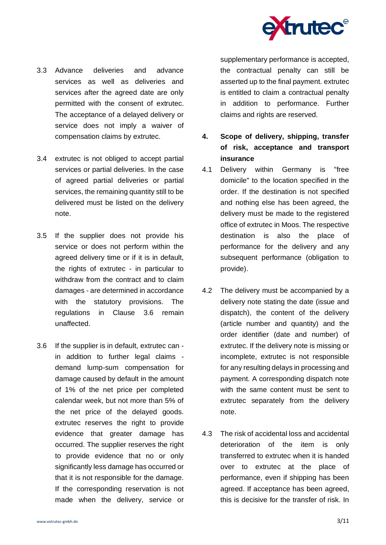

- 3.3 Advance deliveries and advance services as well as deliveries and services after the agreed date are only permitted with the consent of extrutec. The acceptance of a delayed delivery or service does not imply a waiver of compensation claims by extrutec.
- 3.4 extrutec is not obliged to accept partial services or partial deliveries. In the case of agreed partial deliveries or partial services, the remaining quantity still to be delivered must be listed on the delivery note.
- 3.5 If the supplier does not provide his service or does not perform within the agreed delivery time or if it is in default, the rights of extrutec - in particular to withdraw from the contract and to claim damages - are determined in accordance with the statutory provisions. The regulations in Clause 3.6 remain unaffected.
- 3.6 If the supplier is in default, extrutec can in addition to further legal claims demand lump-sum compensation for damage caused by default in the amount of 1% of the net price per completed calendar week, but not more than 5% of the net price of the delayed goods. extrutec reserves the right to provide evidence that greater damage has occurred. The supplier reserves the right to provide evidence that no or only significantly less damage has occurred or that it is not responsible for the damage. If the corresponding reservation is not made when the delivery, service or

supplementary performance is accepted, the contractual penalty can still be asserted up to the final payment. extrutec is entitled to claim a contractual penalty in addition to performance. Further claims and rights are reserved.

- **4. Scope of delivery, shipping, transfer of risk, acceptance and transport insurance**
- 4.1 Delivery within Germany is "free domicile" to the location specified in the order. If the destination is not specified and nothing else has been agreed, the delivery must be made to the registered office of extrutec in Moos. The respective destination is also the place of performance for the delivery and any subsequent performance (obligation to provide).
- 4.2 The delivery must be accompanied by a delivery note stating the date (issue and dispatch), the content of the delivery (article number and quantity) and the order identifier (date and number) of extrutec. If the delivery note is missing or incomplete, extrutec is not responsible for any resulting delays in processing and payment. A corresponding dispatch note with the same content must be sent to extrutec separately from the delivery note.
- 4.3 The risk of accidental loss and accidental deterioration of the item is only transferred to extrutec when it is handed over to extrutec at the place of performance, even if shipping has been agreed. If acceptance has been agreed, this is decisive for the transfer of risk. In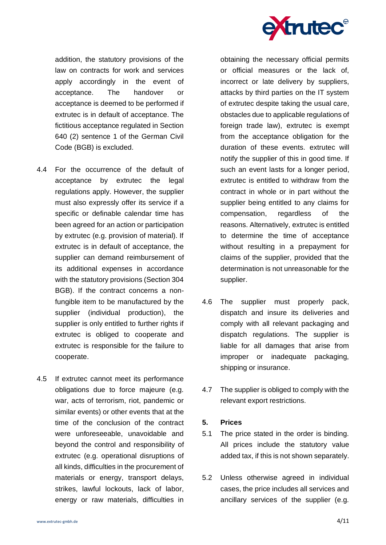

addition, the statutory provisions of the law on contracts for work and services apply accordingly in the event of acceptance. The handover or acceptance is deemed to be performed if extrutec is in default of acceptance. The fictitious acceptance regulated in Section 640 (2) sentence 1 of the German Civil Code (BGB) is excluded.

- 4.4 For the occurrence of the default of acceptance by extrutec the legal regulations apply. However, the supplier must also expressly offer its service if a specific or definable calendar time has been agreed for an action or participation by extrutec (e.g. provision of material). If extrutec is in default of acceptance, the supplier can demand reimbursement of its additional expenses in accordance with the statutory provisions (Section 304 BGB). If the contract concerns a nonfungible item to be manufactured by the supplier (individual production), the supplier is only entitled to further rights if extrutec is obliged to cooperate and extrutec is responsible for the failure to cooperate.
- 4.5 If extrutec cannot meet its performance obligations due to force majeure (e.g. war, acts of terrorism, riot, pandemic or similar events) or other events that at the time of the conclusion of the contract were unforeseeable, unavoidable and beyond the control and responsibility of extrutec (e.g. operational disruptions of all kinds, difficulties in the procurement of materials or energy, transport delays, strikes, lawful lockouts, lack of labor, energy or raw materials, difficulties in

obtaining the necessary official permits or official measures or the lack of, incorrect or late delivery by suppliers, attacks by third parties on the IT system of extrutec despite taking the usual care, obstacles due to applicable regulations of foreign trade law), extrutec is exempt from the acceptance obligation for the duration of these events. extrutec will notify the supplier of this in good time. If such an event lasts for a longer period, extrutec is entitled to withdraw from the contract in whole or in part without the supplier being entitled to any claims for compensation, regardless of the reasons. Alternatively, extrutec is entitled to determine the time of acceptance without resulting in a prepayment for claims of the supplier, provided that the determination is not unreasonable for the supplier.

- 4.6 The supplier must properly pack, dispatch and insure its deliveries and comply with all relevant packaging and dispatch regulations. The supplier is liable for all damages that arise from improper or inadequate packaging, shipping or insurance.
- 4.7 The supplier is obliged to comply with the relevant export restrictions.

## **5. Prices**

- 5.1 The price stated in the order is binding. All prices include the statutory value added tax, if this is not shown separately.
- 5.2 Unless otherwise agreed in individual cases, the price includes all services and ancillary services of the supplier (e.g.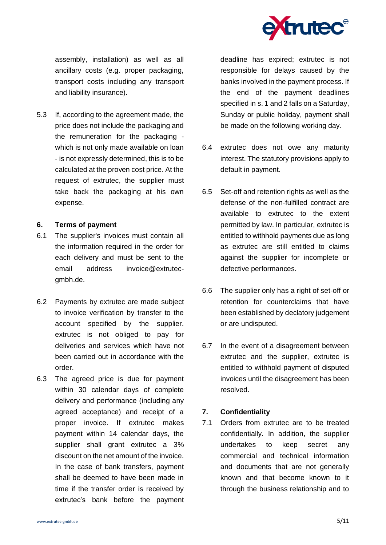

assembly, installation) as well as all ancillary costs (e.g. proper packaging, transport costs including any transport and liability insurance).

5.3 If, according to the agreement made, the price does not include the packaging and the remuneration for the packaging which is not only made available on loan - is not expressly determined, this is to be calculated at the proven cost price. At the request of extrutec, the supplier must take back the packaging at his own expense.

# **6. Terms of payment**

- 6.1 The supplier's invoices must contain all the information required in the order for each delivery and must be sent to the email address invoice@extrutecgmbh.de.
- 6.2 Payments by extrutec are made subject to invoice verification by transfer to the account specified by the supplier. extrutec is not obliged to pay for deliveries and services which have not been carried out in accordance with the order.
- 6.3 The agreed price is due for payment within 30 calendar days of complete delivery and performance (including any agreed acceptance) and receipt of a proper invoice. If extrutec makes payment within 14 calendar days, the supplier shall grant extrutec a 3% discount on the net amount of the invoice. In the case of bank transfers, payment shall be deemed to have been made in time if the transfer order is received by extrutec's bank before the payment

deadline has expired; extrutec is not responsible for delays caused by the banks involved in the payment process. If the end of the payment deadlines specified in s. 1 and 2 falls on a Saturday, Sunday or public holiday, payment shall be made on the following working day.

- 6.4 extrutec does not owe any maturity interest. The statutory provisions apply to default in payment.
- 6.5 Set-off and retention rights as well as the defense of the non-fulfilled contract are available to extrutec to the extent permitted by law. In particular, extrutec is entitled to withhold payments due as long as extrutec are still entitled to claims against the supplier for incomplete or defective performances.
- 6.6 The supplier only has a right of set-off or retention for counterclaims that have been established by declatory judgement or are undisputed.
- 6.7 In the event of a disagreement between extrutec and the supplier, extrutec is entitled to withhold payment of disputed invoices until the disagreement has been resolved.

# **7. Confidentiality**

7.1 Orders from extrutec are to be treated confidentially. In addition, the supplier undertakes to keep secret any commercial and technical information and documents that are not generally known and that become known to it through the business relationship and to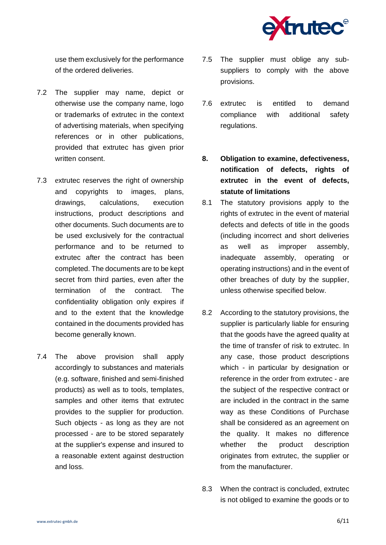

use them exclusively for the performance of the ordered deliveries.

- 7.2 The supplier may name, depict or otherwise use the company name, logo or trademarks of extrutec in the context of advertising materials, when specifying references or in other publications, provided that extrutec has given prior written consent.
- 7.3 extrutec reserves the right of ownership and copyrights to images, plans, drawings, calculations, execution instructions, product descriptions and other documents. Such documents are to be used exclusively for the contractual performance and to be returned to extrutec after the contract has been completed. The documents are to be kept secret from third parties, even after the termination of the contract. The confidentiality obligation only expires if and to the extent that the knowledge contained in the documents provided has become generally known.
- 7.4 The above provision shall apply accordingly to substances and materials (e.g. software, finished and semi-finished products) as well as to tools, templates, samples and other items that extrutec provides to the supplier for production. Such objects - as long as they are not processed - are to be stored separately at the supplier's expense and insured to a reasonable extent against destruction and loss.
- 7.5 The supplier must oblige any subsuppliers to comply with the above provisions.
- 7.6 extrutec is entitled to demand compliance with additional safety regulations.
- **8. Obligation to examine, defectiveness, notification of defects, rights of extrutec in the event of defects, statute of limitations**
- 8.1 The statutory provisions apply to the rights of extrutec in the event of material defects and defects of title in the goods (including incorrect and short deliveries as well as improper assembly, inadequate assembly, operating or operating instructions) and in the event of other breaches of duty by the supplier, unless otherwise specified below.
- 8.2 According to the statutory provisions, the supplier is particularly liable for ensuring that the goods have the agreed quality at the time of transfer of risk to extrutec. In any case, those product descriptions which - in particular by designation or reference in the order from extrutec - are the subject of the respective contract or are included in the contract in the same way as these Conditions of Purchase shall be considered as an agreement on the quality. It makes no difference whether the product description originates from extrutec, the supplier or from the manufacturer.
- 8.3 When the contract is concluded, extrutec is not obliged to examine the goods or to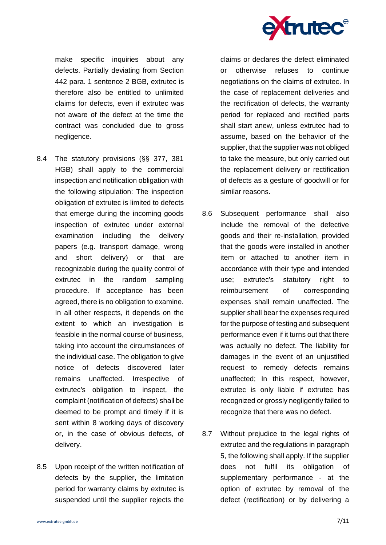

make specific inquiries about any defects. Partially deviating from Section 442 para. 1 sentence 2 BGB, extrutec is therefore also be entitled to unlimited claims for defects, even if extrutec was not aware of the defect at the time the contract was concluded due to gross negligence.

- 8.4 The statutory provisions (§§ 377, 381 HGB) shall apply to the commercial inspection and notification obligation with the following stipulation: The inspection obligation of extrutec is limited to defects that emerge during the incoming goods inspection of extrutec under external examination including the delivery papers (e.g. transport damage, wrong and short delivery) or that are recognizable during the quality control of extrutec in the random sampling procedure. If acceptance has been agreed, there is no obligation to examine. In all other respects, it depends on the extent to which an investigation is feasible in the normal course of business, taking into account the circumstances of the individual case. The obligation to give notice of defects discovered later remains unaffected. Irrespective of extrutec's obligation to inspect, the complaint (notification of defects) shall be deemed to be prompt and timely if it is sent within 8 working days of discovery or, in the case of obvious defects, of delivery.
- 8.5 Upon receipt of the written notification of defects by the supplier, the limitation period for warranty claims by extrutec is suspended until the supplier rejects the

claims or declares the defect eliminated or otherwise refuses to continue negotiations on the claims of extrutec. In the case of replacement deliveries and the rectification of defects, the warranty period for replaced and rectified parts shall start anew, unless extrutec had to assume, based on the behavior of the supplier, that the supplier was not obliged to take the measure, but only carried out the replacement delivery or rectification of defects as a gesture of goodwill or for similar reasons.

- 8.6 Subsequent performance shall also include the removal of the defective goods and their re-installation, provided that the goods were installed in another item or attached to another item in accordance with their type and intended use; extrutec's statutory right to reimbursement of corresponding expenses shall remain unaffected. The supplier shall bear the expenses required for the purpose of testing and subsequent performance even if it turns out that there was actually no defect. The liability for damages in the event of an unjustified request to remedy defects remains unaffected; In this respect, however, extrutec is only liable if extrutec has recognized or grossly negligently failed to recognize that there was no defect.
- 8.7 Without prejudice to the legal rights of extrutec and the regulations in paragraph 5, the following shall apply. If the supplier does not fulfil its obligation of supplementary performance - at the option of extrutec by removal of the defect (rectification) or by delivering a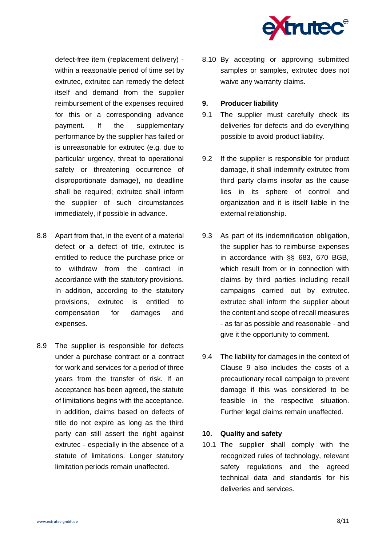

defect-free item (replacement delivery) within a reasonable period of time set by extrutec, extrutec can remedy the defect itself and demand from the supplier reimbursement of the expenses required for this or a corresponding advance payment. If the supplementary performance by the supplier has failed or is unreasonable for extrutec (e.g. due to particular urgency, threat to operational safety or threatening occurrence of disproportionate damage), no deadline shall be required; extrutec shall inform the supplier of such circumstances immediately, if possible in advance.

- 8.8 Apart from that, in the event of a material defect or a defect of title, extrutec is entitled to reduce the purchase price or to withdraw from the contract in accordance with the statutory provisions. In addition, according to the statutory provisions, extrutec is entitled to compensation for damages and expenses.
- 8.9 The supplier is responsible for defects under a purchase contract or a contract for work and services for a period of three years from the transfer of risk. If an acceptance has been agreed, the statute of limitations begins with the acceptance. In addition, claims based on defects of title do not expire as long as the third party can still assert the right against extrutec - especially in the absence of a statute of limitations. Longer statutory limitation periods remain unaffected.

8.10 By accepting or approving submitted samples or samples, extrutec does not waive any warranty claims.

## **9. Producer liability**

- 9.1 The supplier must carefully check its deliveries for defects and do everything possible to avoid product liability.
- 9.2 If the supplier is responsible for product damage, it shall indemnify extrutec from third party claims insofar as the cause lies in its sphere of control and organization and it is itself liable in the external relationship.
- 9.3 As part of its indemnification obligation, the supplier has to reimburse expenses in accordance with §§ 683, 670 BGB, which result from or in connection with claims by third parties including recall campaigns carried out by extrutec. extrutec shall inform the supplier about the content and scope of recall measures - as far as possible and reasonable - and give it the opportunity to comment.
- 9.4 The liability for damages in the context of Clause 9 also includes the costs of a precautionary recall campaign to prevent damage if this was considered to be feasible in the respective situation. Further legal claims remain unaffected.

# **10. Quality and safety**

10.1 The supplier shall comply with the recognized rules of technology, relevant safety regulations and the agreed technical data and standards for his deliveries and services.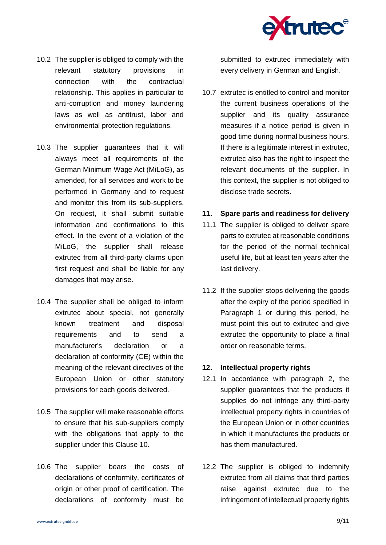

- 10.2 The supplier is obliged to comply with the relevant statutory provisions in connection with the contractual relationship. This applies in particular to anti-corruption and money laundering laws as well as antitrust, labor and environmental protection regulations.
- 10.3 The supplier guarantees that it will always meet all requirements of the German Minimum Wage Act (MiLoG), as amended, for all services and work to be performed in Germany and to request and monitor this from its sub-suppliers. On request, it shall submit suitable information and confirmations to this effect. In the event of a violation of the MiLoG, the supplier shall release extrutec from all third-party claims upon first request and shall be liable for any damages that may arise.
- 10.4 The supplier shall be obliged to inform extrutec about special, not generally known treatment and disposal requirements and to send a manufacturer's declaration or a declaration of conformity (CE) within the meaning of the relevant directives of the European Union or other statutory provisions for each goods delivered.
- 10.5 The supplier will make reasonable efforts to ensure that his sub-suppliers comply with the obligations that apply to the supplier under this Clause 10.
- 10.6 The supplier bears the costs of declarations of conformity, certificates of origin or other proof of certification. The declarations of conformity must be

submitted to extrutec immediately with every delivery in German and English.

10.7 extrutec is entitled to control and monitor the current business operations of the supplier and its quality assurance measures if a notice period is given in good time during normal business hours. If there is a legitimate interest in extrutec, extrutec also has the right to inspect the relevant documents of the supplier. In this context, the supplier is not obliged to disclose trade secrets.

## **11. Spare parts and readiness for delivery**

- 11.1 The supplier is obliged to deliver spare parts to extrutec at reasonable conditions for the period of the normal technical useful life, but at least ten years after the last delivery.
- 11.2 If the supplier stops delivering the goods after the expiry of the period specified in Paragraph 1 or during this period, he must point this out to extrutec and give extrutec the opportunity to place a final order on reasonable terms.

#### **12. Intellectual property rights**

- 12.1 In accordance with paragraph 2, the supplier guarantees that the products it supplies do not infringe any third-party intellectual property rights in countries of the European Union or in other countries in which it manufactures the products or has them manufactured.
- 12.2 The supplier is obliged to indemnify extrutec from all claims that third parties raise against extrutec due to the infringement of intellectual property rights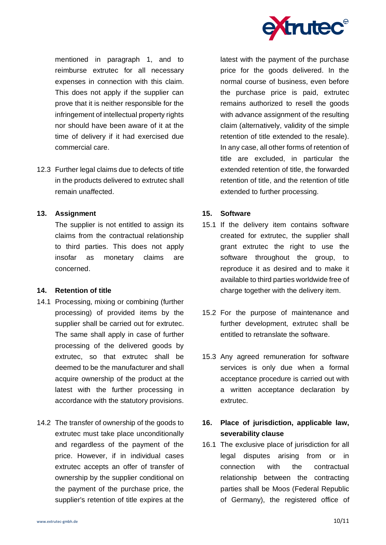

mentioned in paragraph 1, and to reimburse extrutec for all necessary expenses in connection with this claim. This does not apply if the supplier can prove that it is neither responsible for the infringement of intellectual property rights nor should have been aware of it at the time of delivery if it had exercised due commercial care.

12.3 Further legal claims due to defects of title in the products delivered to extrutec shall remain unaffected.

# **13. Assignment**

The supplier is not entitled to assign its claims from the contractual relationship to third parties. This does not apply insofar as monetary claims are concerned.

## **14. Retention of title**

- 14.1 Processing, mixing or combining (further processing) of provided items by the supplier shall be carried out for extrutec. The same shall apply in case of further processing of the delivered goods by extrutec, so that extrutec shall be deemed to be the manufacturer and shall acquire ownership of the product at the latest with the further processing in accordance with the statutory provisions.
- 14.2 The transfer of ownership of the goods to extrutec must take place unconditionally and regardless of the payment of the price. However, if in individual cases extrutec accepts an offer of transfer of ownership by the supplier conditional on the payment of the purchase price, the supplier's retention of title expires at the

latest with the payment of the purchase price for the goods delivered. In the normal course of business, even before the purchase price is paid, extrutec remains authorized to resell the goods with advance assignment of the resulting claim (alternatively, validity of the simple retention of title extended to the resale). In any case, all other forms of retention of title are excluded, in particular the extended retention of title, the forwarded retention of title, and the retention of title extended to further processing.

## **15. Software**

- 15.1 If the delivery item contains software created for extrutec, the supplier shall grant extrutec the right to use the software throughout the group, to reproduce it as desired and to make it available to third parties worldwide free of charge together with the delivery item.
- 15.2 For the purpose of maintenance and further development, extrutec shall be entitled to retranslate the software.
- 15.3 Any agreed remuneration for software services is only due when a formal acceptance procedure is carried out with a written acceptance declaration by extrutec.

# **16. Place of jurisdiction, applicable law, severability clause**

16.1 The exclusive place of jurisdiction for all legal disputes arising from or in connection with the contractual relationship between the contracting parties shall be Moos (Federal Republic of Germany), the registered office of